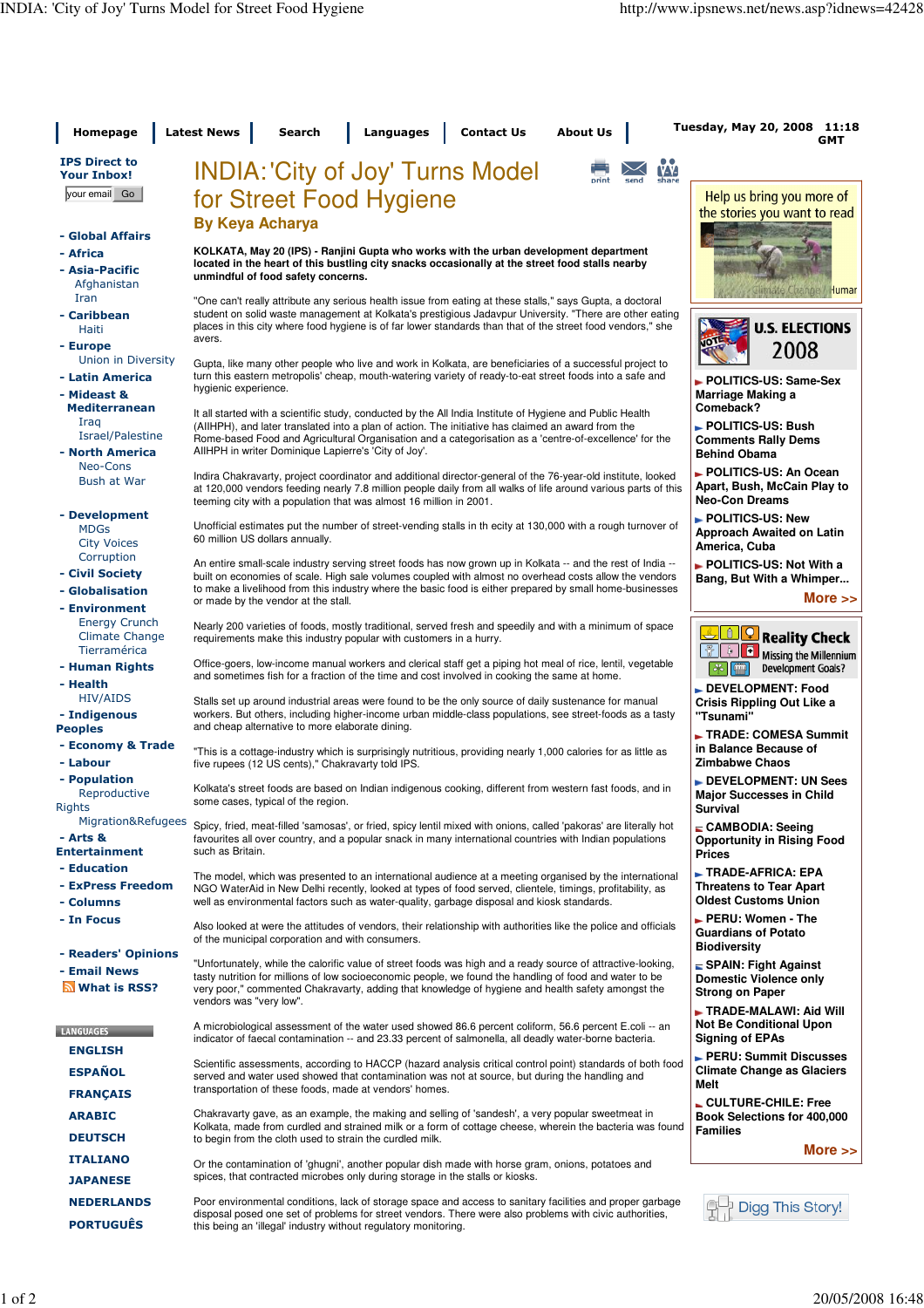| Homepage                                               | <b>Latest News</b><br><b>Contact Us</b><br><b>About Us</b><br><b>Search</b><br><b>Languages</b>                                                                                                                                                                      | Tuesday, May 20, 2008 11:18<br>GMT                                                   |
|--------------------------------------------------------|----------------------------------------------------------------------------------------------------------------------------------------------------------------------------------------------------------------------------------------------------------------------|--------------------------------------------------------------------------------------|
| <b>IPS Direct to</b><br><b>Your Inbox!</b>             | <b>INDIA: 'City of Joy' Turns Model</b><br><b>YY</b><br>send<br>share                                                                                                                                                                                                |                                                                                      |
| your email Go                                          | for Street Food Hygiene                                                                                                                                                                                                                                              | Help us bring you more of<br>the stories you want to read                            |
| - Global Affairs                                       | <b>By Keya Acharya</b>                                                                                                                                                                                                                                               |                                                                                      |
| - Africa                                               | KOLKATA, May 20 (IPS) - Ranjini Gupta who works with the urban development department                                                                                                                                                                                |                                                                                      |
| - Asia-Pacific<br>Afghanistan                          | located in the heart of this bustling city snacks occasionally at the street food stalls nearby<br>unmindful of food safety concerns.                                                                                                                                | Timaté Change / Humar                                                                |
| Iran<br>- Caribbean                                    | "One can't really attribute any serious health issue from eating at these stalls," says Gupta, a doctoral<br>student on solid waste management at Kolkata's prestigious Jadavpur University. "There are other eating                                                 |                                                                                      |
| Haiti<br>- Europe                                      | places in this city where food hygiene is of far lower standards than that of the street food vendors," she<br>avers.                                                                                                                                                | <b>U.S. ELECTIONS</b>                                                                |
| Union in Diversity                                     | Gupta, like many other people who live and work in Kolkata, are beneficiaries of a successful project to                                                                                                                                                             | 2008                                                                                 |
| - Latin America<br>- Mideast &                         | turn this eastern metropolis' cheap, mouth-watering variety of ready-to-eat street foods into a safe and<br>hygienic experience.                                                                                                                                     | ► POLITICS-US: Same-Sex<br>Marriage Making a                                         |
| <b>Mediterranean</b><br>Iraq                           | It all started with a scientific study, conducted by the All India Institute of Hygiene and Public Health                                                                                                                                                            | Comeback?                                                                            |
| Israel/Palestine<br>- North America                    | (AllHPH), and later translated into a plan of action. The initiative has claimed an award from the<br>Rome-based Food and Agricultural Organisation and a categorisation as a 'centre-of-excellence' for the<br>AllHPH in writer Dominique Lapierre's 'City of Joy'. | POLITICS-US: Bush<br><b>Comments Rally Dems</b><br><b>Behind Obama</b>               |
| Neo-Cons<br>Bush at War                                | Indira Chakravarty, project coordinator and additional director-general of the 76-year-old institute, looked                                                                                                                                                         | POLITICS-US: An Ocean                                                                |
|                                                        | at 120,000 vendors feeding nearly 7.8 million people daily from all walks of life around various parts of this<br>teeming city with a population that was almost 16 million in 2001.                                                                                 | Apart, Bush, McCain Play to<br><b>Neo-Con Dreams</b>                                 |
| - Development<br><b>MDGs</b>                           | Unofficial estimates put the number of street-vending stalls in th ecity at 130,000 with a rough turnover of                                                                                                                                                         | POLITICS-US: New                                                                     |
| <b>City Voices</b>                                     | 60 million US dollars annually.                                                                                                                                                                                                                                      | <b>Approach Awaited on Latin</b><br>America, Cuba                                    |
| Corruption<br>- Civil Society                          | An entire small-scale industry serving street foods has now grown up in Kolkata -- and the rest of India --<br>built on economies of scale. High sale volumes coupled with almost no overhead costs allow the vendors                                                | ► POLITICS-US: Not With a                                                            |
| - Globalisation                                        | to make a livelihood from this industry where the basic food is either prepared by small home-businesses                                                                                                                                                             | Bang, But With a Whimper                                                             |
| - Environment                                          | or made by the vendor at the stall.                                                                                                                                                                                                                                  | More $\gg$                                                                           |
| <b>Energy Crunch</b><br>Climate Change<br>Tierramérica | Nearly 200 varieties of foods, mostly traditional, served fresh and speedily and with a minimum of space<br>requirements make this industry popular with customers in a hurry.                                                                                       | <b>Reality Check</b><br>в<br>Missing the Millennium                                  |
| - Human Rights                                         | Office-goers, low-income manual workers and clerical staff get a piping hot meal of rice, lentil, vegetable<br>and sometimes fish for a fraction of the time and cost involved in cooking the same at home.                                                          | Development Goals?                                                                   |
| - Health<br><b>HIV/AIDS</b>                            |                                                                                                                                                                                                                                                                      | DEVELOPMENT: Food                                                                    |
| - Indigenous<br><b>Peoples</b>                         | Stalls set up around industrial areas were found to be the only source of daily sustenance for manual<br>workers. But others, including higher-income urban middle-class populations, see street-foods as a tasty<br>and cheap alternative to more elaborate dining. | Crisis Rippling Out Like a<br>"Tsunami"                                              |
| - Economy & Trade                                      | "This is a cottage-industry which is surprisingly nutritious, providing nearly 1,000 calories for as little as                                                                                                                                                       | ► TRADE: COMESA Summit<br>in Balance Because of                                      |
| - Labour                                               | five rupees (12 US cents)," Chakravarty told IPS.                                                                                                                                                                                                                    | <b>Zimbabwe Chaos</b>                                                                |
| - Population<br>Reproductive<br><b>Rights</b>          | Kolkata's street foods are based on Indian indigenous cooking, different from western fast foods, and in<br>some cases, typical of the region.                                                                                                                       | DEVELOPMENT: UN Sees<br><b>Major Successes in Child</b><br>Survival                  |
| Migration&Refugees                                     | Spicy, fried, meat-filled 'samosas', or fried, spicy lentil mixed with onions, called 'pakoras' are literally hot                                                                                                                                                    | ⊑ CAMBODIA: Seeing                                                                   |
| - Arts &<br><b>Entertainment</b>                       | favourites all over country, and a popular snack in many international countries with Indian populations<br>such as Britain.                                                                                                                                         | <b>Opportunity in Rising Food</b><br><b>Prices</b>                                   |
| - Education<br>- ExPress Freedom                       | The model, which was presented to an international audience at a meeting organised by the international                                                                                                                                                              | ► TRADE-AFRICA: EPA                                                                  |
| - Columns                                              | NGO WaterAid in New Delhi recently, looked at types of food served, clientele, timings, profitability, as<br>well as environmental factors such as water-quality, garbage disposal and kiosk standards.                                                              | <b>Threatens to Tear Apart</b><br><b>Oldest Customs Union</b>                        |
| - In Focus                                             | Also looked at were the attitudes of vendors, their relationship with authorities like the police and officials<br>of the municipal corporation and with consumers.                                                                                                  | ► PERU: Women - The<br><b>Guardians of Potato</b><br><b>Biodiversity</b>             |
| - Readers' Opinions<br>- Email News                    | "Unfortunately, while the calorific value of street foods was high and a ready source of attractive-looking,                                                                                                                                                         | ⊑ SPAIN: Fight Against                                                               |
| <b>N</b> What is RSS?                                  | tasty nutrition for millions of low socioeconomic people, we found the handling of food and water to be<br>very poor," commented Chakravarty, adding that knowledge of hygiene and health safety amongst the<br>vendors was "very low".                              | <b>Domestic Violence only</b><br><b>Strong on Paper</b>                              |
| <b>LANGUAGES</b>                                       | A microbiological assessment of the water used showed 86.6 percent coliform, 56.6 percent E.coli -- an<br>indicator of faecal contamination -- and 23.33 percent of salmonella, all deadly water-borne bacteria.                                                     | ► TRADE-MALAWI: Aid Will<br><b>Not Be Conditional Upon</b><br><b>Signing of EPAs</b> |
| <b>ENGLISH</b>                                         |                                                                                                                                                                                                                                                                      | ► PERU: Summit Discusses                                                             |
| <b>ESPAÑOL</b>                                         | Scientific assessments, according to HACCP (hazard analysis critical control point) standards of both food<br>served and water used showed that contamination was not at source, but during the handling and                                                         | <b>Climate Change as Glaciers</b><br>Melt                                            |
| <b>FRANÇAIS</b>                                        | transportation of these foods, made at vendors' homes.                                                                                                                                                                                                               | ⊑ CULTURE-CHILE: Free                                                                |
| <b>ARABIC</b>                                          | Chakravarty gave, as an example, the making and selling of 'sandesh', a very popular sweetmeat in<br>Kolkata, made from curdled and strained milk or a form of cottage cheese, wherein the bacteria was found                                                        | Book Selections for 400,000<br><b>Families</b>                                       |
| <b>DEUTSCH</b>                                         | to begin from the cloth used to strain the curdled milk.                                                                                                                                                                                                             | More $\gg$                                                                           |
| <b>ITALIANO</b>                                        | Or the contamination of 'ghugni', another popular dish made with horse gram, onions, potatoes and                                                                                                                                                                    |                                                                                      |
| <b>JAPANESE</b>                                        | spices, that contracted microbes only during storage in the stalls or kiosks.                                                                                                                                                                                        |                                                                                      |
| <b>NEDERLANDS</b>                                      | Poor environmental conditions, lack of storage space and access to sanitary facilities and proper garbage<br>disposal posed one set of problems for street vendors. There were also problems with civic authorities,                                                 | Digg This Story!                                                                     |
| <b>PORTUGUÊS</b>                                       | this being an 'illegal' industry without regulatory monitoring.                                                                                                                                                                                                      |                                                                                      |